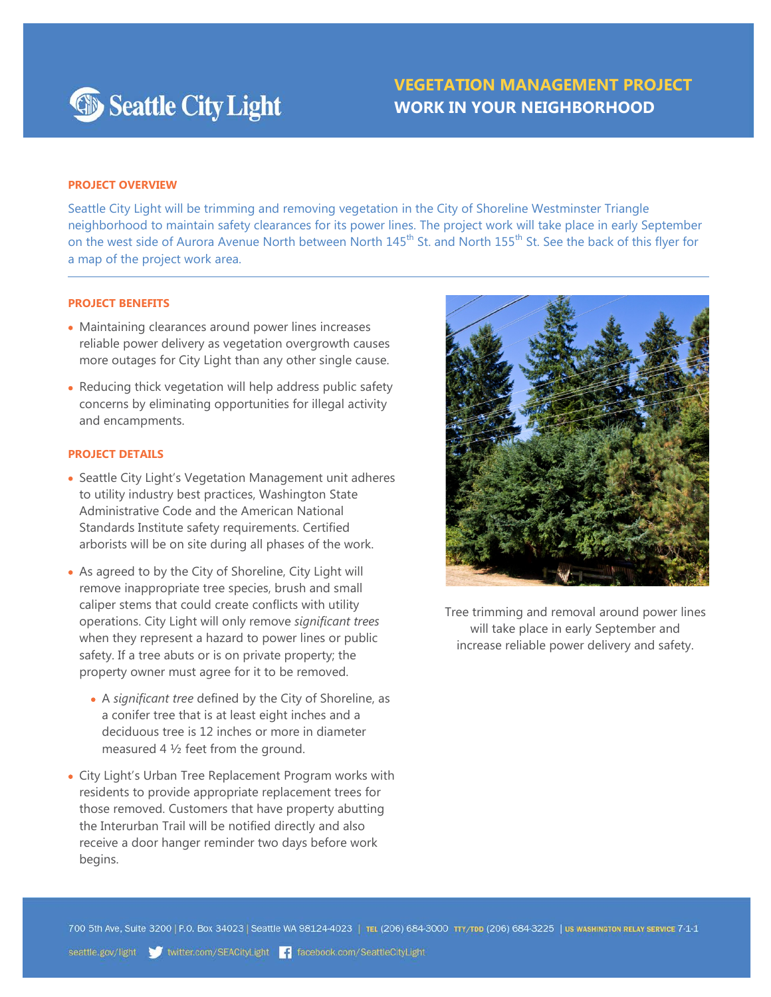

# **VEGETATION MANAGEMENT PROJECT WORK IN YOUR NEIGHBORHOOD**

## **PROJECT OVERVIEW**

Seattle City Light will be trimming and removing vegetation in the City of Shoreline Westminster Triangle neighborhood to maintain safety clearances for its power lines. The project work will take place in early September on the west side of Aurora Avenue North between North 145<sup>th</sup> St. and North 155<sup>th</sup> St. See the back of this flyer for a map of the project work area.

#### **PROJECT BENEFITS**

- Maintaining clearances around power lines increases reliable power delivery as vegetation overgrowth causes more outages for City Light than any other single cause.
- Reducing thick vegetation will help address public safety concerns by eliminating opportunities for illegal activity and encampments.

## **PROJECT DETAILS**

- Seattle City Light's Vegetation Management unit adheres to utility industry best practices, Washington State Administrative Code and the American National Standards Institute safety requirements. Certified arborists will be on site during all phases of the work.
- As agreed to by the City of Shoreline, City Light will remove inappropriate tree species, brush and small caliper stems that could create conflicts with utility operations. City Light will only remove *significant trees* when they represent a hazard to power lines or public safety. If a tree abuts or is on private property; the property owner must agree for it to be removed.
	- A *significant tree* defined by the City of Shoreline, as a conifer tree that is at least eight inches and a deciduous tree is 12 inches or more in diameter measured 4 ½ feet from the ground.
- City Light's Urban Tree Replacement Program works with residents to provide appropriate replacement trees for those removed. Customers that have property abutting the Interurban Trail will be notified directly and also receive a door hanger reminder two days before work begins.



Tree trimming and removal around power lines will take place in early September and increase reliable power delivery and safety.

700 5th Ave, Suite 3200 | P.O. Box 34023 | Seattle WA 98124-4023 | TEL (206) 684-3000 TTY/TDD (206) 684-3225 | US WASHINGTON RELAY SERVICE 7-1-1